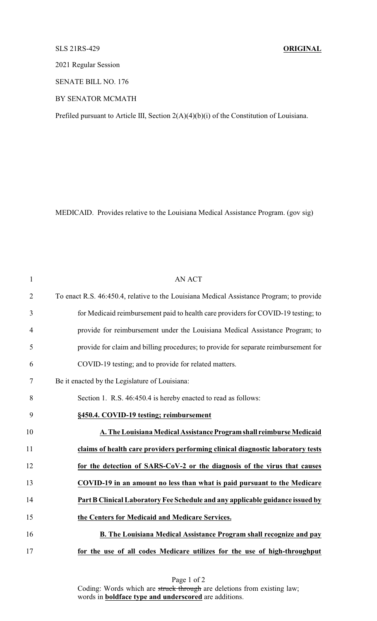## SLS 21RS-429 **ORIGINAL**

2021 Regular Session

SENATE BILL NO. 176

BY SENATOR MCMATH

Prefiled pursuant to Article III, Section 2(A)(4)(b)(i) of the Constitution of Louisiana.

MEDICAID. Provides relative to the Louisiana Medical Assistance Program. (gov sig)

| $\mathbf{1}$   | <b>AN ACT</b>                                                                            |
|----------------|------------------------------------------------------------------------------------------|
| $\overline{2}$ | To enact R.S. 46:450.4, relative to the Louisiana Medical Assistance Program; to provide |
| 3              | for Medicaid reimbursement paid to health care providers for COVID-19 testing; to        |
| $\overline{4}$ | provide for reimbursement under the Louisiana Medical Assistance Program; to             |
| 5              | provide for claim and billing procedures; to provide for separate reimbursement for      |
| 6              | COVID-19 testing; and to provide for related matters.                                    |
| 7              | Be it enacted by the Legislature of Louisiana:                                           |
| 8              | Section 1. R.S. 46:450.4 is hereby enacted to read as follows:                           |
| 9              | §450.4. COVID-19 testing; reimbursement                                                  |
| 10             | A. The Louisiana Medical Assistance Program shall reimburse Medicaid                     |
| 11             | claims of health care providers performing clinical diagnostic laboratory tests          |
| 12             | for the detection of SARS-CoV-2 or the diagnosis of the virus that causes                |
| 13             | COVID-19 in an amount no less than what is paid pursuant to the Medicare                 |
| 14             | Part B Clinical Laboratory Fee Schedule and any applicable guidance issued by            |
| 15             | the Centers for Medicaid and Medicare Services.                                          |
| 16             | <b>B. The Louisiana Medical Assistance Program shall recognize and pay</b>               |
| 17             | for the use of all codes Medicare utilizes for the use of high-throughput                |

Page 1 of 2 Coding: Words which are struck through are deletions from existing law; words in **boldface type and underscored** are additions.